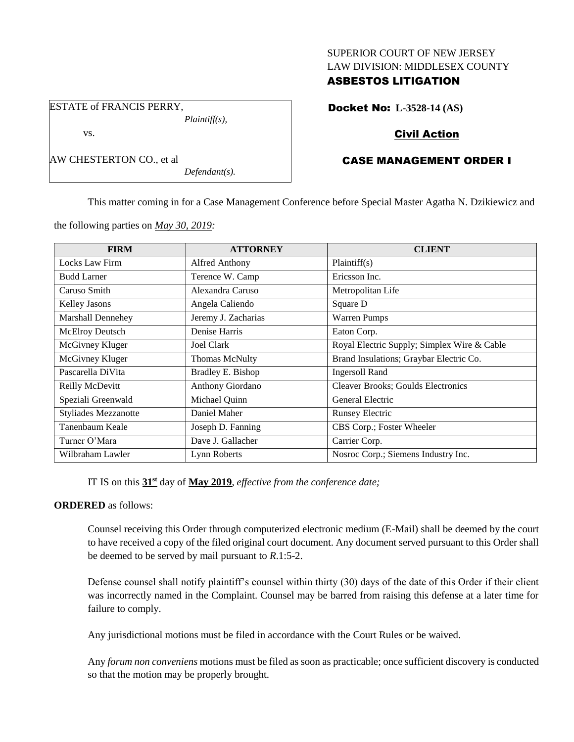#### SUPERIOR COURT OF NEW JERSEY LAW DIVISION: MIDDLESEX COUNTY

### ASBESTOS LITIGATION

Docket No: **L-3528-14 (AS)**

# Civil Action

## CASE MANAGEMENT ORDER I

This matter coming in for a Case Management Conference before Special Master Agatha N. Dzikiewicz and

the following parties on *May 30, 2019:*

| <b>FIRM</b>                 | <b>ATTORNEY</b>       | <b>CLIENT</b>                               |
|-----------------------------|-----------------------|---------------------------------------------|
| Locks Law Firm              | Alfred Anthony        | Plaintiff(s)                                |
| <b>Budd Larner</b>          | Terence W. Camp       | Ericsson Inc.                               |
| Caruso Smith                | Alexandra Caruso      | Metropolitan Life                           |
| <b>Kelley Jasons</b>        | Angela Caliendo       | Square D                                    |
| <b>Marshall Dennehey</b>    | Jeremy J. Zacharias   | <b>Warren Pumps</b>                         |
| McElroy Deutsch             | Denise Harris         | Eaton Corp.                                 |
| McGivney Kluger             | Joel Clark            | Royal Electric Supply; Simplex Wire & Cable |
| McGivney Kluger             | <b>Thomas McNulty</b> | Brand Insulations; Graybar Electric Co.     |
| Pascarella DiVita           | Bradley E. Bishop     | <b>Ingersoll Rand</b>                       |
| Reilly McDevitt             | Anthony Giordano      | Cleaver Brooks; Goulds Electronics          |
| Speziali Greenwald          | Michael Quinn         | General Electric                            |
| <b>Styliades Mezzanotte</b> | Daniel Maher          | <b>Runsey Electric</b>                      |
| Tanenbaum Keale             | Joseph D. Fanning     | CBS Corp.; Foster Wheeler                   |
| Turner O'Mara               | Dave J. Gallacher     | Carrier Corp.                               |
| Wilbraham Lawler            | Lynn Roberts          | Nosroc Corp.; Siemens Industry Inc.         |

IT IS on this **31st** day of **May 2019**, *effective from the conference date;*

#### **ORDERED** as follows:

Counsel receiving this Order through computerized electronic medium (E-Mail) shall be deemed by the court to have received a copy of the filed original court document. Any document served pursuant to this Order shall be deemed to be served by mail pursuant to *R*.1:5-2.

Defense counsel shall notify plaintiff's counsel within thirty (30) days of the date of this Order if their client was incorrectly named in the Complaint. Counsel may be barred from raising this defense at a later time for failure to comply.

Any jurisdictional motions must be filed in accordance with the Court Rules or be waived.

Any *forum non conveniens* motions must be filed as soon as practicable; once sufficient discovery is conducted so that the motion may be properly brought.

ESTATE of FRANCIS PERRY, *Plaintiff(s),* vs.

*Defendant(s).*

AW CHESTERTON CO., et al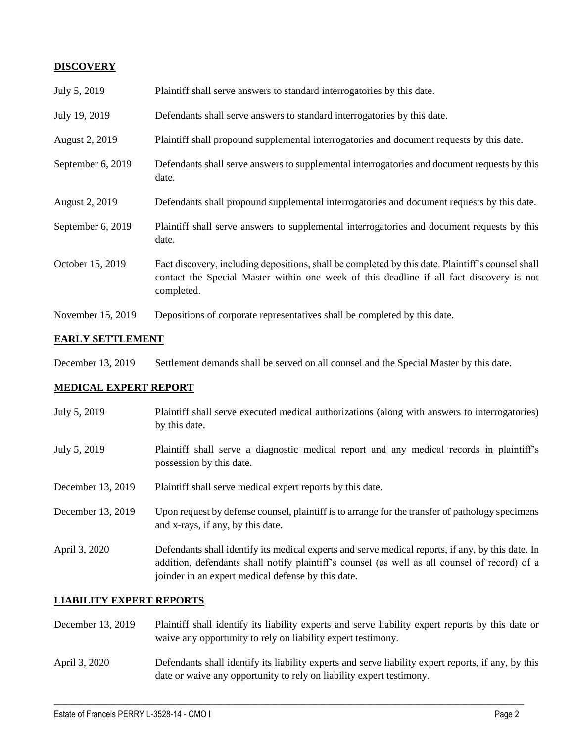## **DISCOVERY**

| July 5, 2019          | Plaintiff shall serve answers to standard interrogatories by this date.                                                                                                                                     |
|-----------------------|-------------------------------------------------------------------------------------------------------------------------------------------------------------------------------------------------------------|
| July 19, 2019         | Defendants shall serve answers to standard interrogatories by this date.                                                                                                                                    |
| <b>August 2, 2019</b> | Plaintiff shall propound supplemental interrogatories and document requests by this date.                                                                                                                   |
| September 6, 2019     | Defendants shall serve answers to supplemental interrogatories and document requests by this<br>date.                                                                                                       |
| August 2, 2019        | Defendants shall propound supplemental interrogatories and document requests by this date.                                                                                                                  |
| September 6, 2019     | Plaintiff shall serve answers to supplemental interrogatories and document requests by this<br>date.                                                                                                        |
| October 15, 2019      | Fact discovery, including depositions, shall be completed by this date. Plaintiff's counsel shall<br>contact the Special Master within one week of this deadline if all fact discovery is not<br>completed. |
| November 15, 2019     | Depositions of corporate representatives shall be completed by this date.                                                                                                                                   |

### **EARLY SETTLEMENT**

December 13, 2019 Settlement demands shall be served on all counsel and the Special Master by this date.

### **MEDICAL EXPERT REPORT**

July 5, 2019 Plaintiff shall serve executed medical authorizations (along with answers to interrogatories) by this date. July 5, 2019 Plaintiff shall serve a diagnostic medical report and any medical records in plaintiff's possession by this date. December 13, 2019 Plaintiff shall serve medical expert reports by this date. December 13, 2019 Upon request by defense counsel, plaintiff is to arrange for the transfer of pathology specimens and x-rays, if any, by this date. April 3, 2020 Defendants shall identify its medical experts and serve medical reports, if any, by this date. In addition, defendants shall notify plaintiff's counsel (as well as all counsel of record) of a joinder in an expert medical defense by this date.

# **LIABILITY EXPERT REPORTS**

- December 13, 2019 Plaintiff shall identify its liability experts and serve liability expert reports by this date or waive any opportunity to rely on liability expert testimony.
- April 3, 2020 Defendants shall identify its liability experts and serve liability expert reports, if any, by this date or waive any opportunity to rely on liability expert testimony.

 $\_$  , and the set of the set of the set of the set of the set of the set of the set of the set of the set of the set of the set of the set of the set of the set of the set of the set of the set of the set of the set of th